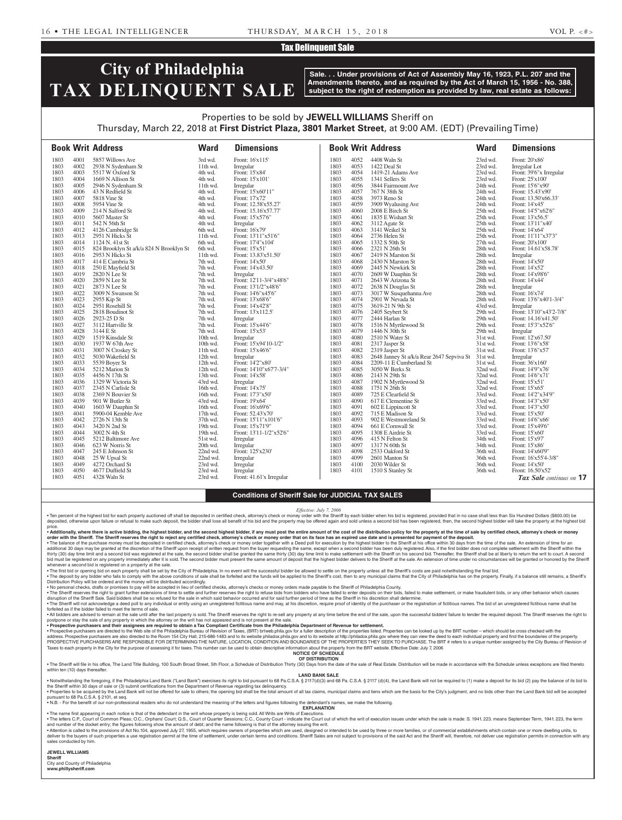### Tax Delinquent Sale

# **City of Philadelphia TAX DELINQUENT SALE**

**Sale. . . Under provisions of Act of Assembly May 16, 1923, P.L. 207 and the Amendments thereto, and as required by the Act of March 15, 1956 - No. 388, subject to the right of redemption as provided by law, real estate as follows:**

## Properties to be sold by **JEWELL WILLIAMS** Sheriff on Thursday, March 22, 2018 at **First District Plaza, 3801 Market Street**, at 9:00 AM. (EDT) (Prevailing Time)

| Front: 16'x115'<br>Front: 20'x86'<br>1803<br>4001<br>5857 Willows Ave<br>3rd wd.<br>1803<br>4052<br>4408 Waln St<br>23rd wd.                                                                      |                          |
|---------------------------------------------------------------------------------------------------------------------------------------------------------------------------------------------------|--------------------------|
|                                                                                                                                                                                                   |                          |
| 1803<br>4002<br>11th wd.<br>1803<br>4053<br>1422 Deal St<br>23rd wd.<br>2938 N Sydenham St<br>Irregular<br>Irregular Lot                                                                          |                          |
| 4003<br>1803<br>5517 W Oxford St<br>1803<br>4054<br>Front: 39'6"x Irregular<br>4th wd.<br>Front: 15'x84'<br>1419-21 Adams Ave<br>23rd wd.                                                         |                          |
| 1803<br>4004<br>1803<br>4055<br>1341 Sellers St<br>Front: 25'x100'<br>1669 N Allison St<br>4th wd.<br>Front: 15'x101'<br>23rd wd.                                                                 |                          |
| 1803<br>4005<br>2946 N Sydenham St<br>1803<br>4056<br>3844 Fairmount Ave<br>24th wd.<br>Front: 15'6"x90"<br>11th wd.<br>Irregular                                                                 |                          |
| 1803<br>1803<br>4006<br>43 N Redfield St<br>Front: 15'x60'11"<br>4057<br>767 N 38th St<br>24th wd.<br>Front: 15.43'x90'<br>4th wd.                                                                |                          |
| 1803<br>4007<br>5818 Vine St<br>Front: 17'x72'<br>1803<br>4058<br>3973 Reno St<br>Front: 13.50'x66.33'<br>4th wd.<br>24th wd.                                                                     |                          |
| 4008<br>1803<br>4059<br>1803<br>5954 Vine St<br>4th wd.<br>Front: 12.58'x55.27'<br>3909 Wyalusing Ave<br>24th wd.<br>Front: 14'x45'                                                               |                          |
| 1803<br>2008 E Birch St<br>1803<br>4009<br>214 N Salford St<br>4th wd.<br>4060<br>25th wd.<br>Front: 14'5"x62'6"<br>Front: 15.16'x57.77'                                                          |                          |
| 1803<br>4010<br>1803<br>1835 E Wishart St<br>5607 Master St<br>Front: 15'x57'6"<br>4061<br>25th wd.<br>Front: 13'x56.5'<br>4th wd.                                                                |                          |
| 1803<br>4011<br>542 N 56th St<br>4th wd.<br>Irregular<br>1803<br>4062<br>3112 Agate St<br>25th wd.<br>Front: 13'11"x40"                                                                           |                          |
| 4012<br>4063<br>1803<br>4126 Cambridge St<br>6th wd.<br>Front: 16'x79'<br>1803<br>3141 Weikel St<br>25th wd.<br>Front: 14'x64'                                                                    |                          |
| 1803<br>4013<br>1803<br>4064<br>2736 Helen St<br>25th wd.<br>2951 N Hicks St<br>11th wd.<br>Front: 13'11"x51'6"<br>Front: 11'11"x37'3"                                                            |                          |
| 4014<br>1803<br>1803<br>1124 N. 41st St<br>6th wd.<br>Front: 17'4"x104"<br>4065<br>1332 S 50th St<br>27th wd.<br>Front: 20'x100'                                                                  |                          |
| 1803<br>4015<br>Front: 15'x51'<br>1803<br>4066<br>2321 N 26th St<br>28th wd.<br>824 Brooklyn St a/k/a 824 N Brooklyn St<br>6th wd.<br>Front: 14.61'x58.78'                                        |                          |
| 1803<br>4016<br>2953 N Hicks St<br>Front: 13.83'x51.50'<br>1803<br>4067<br>2419 N Marston St<br>11th wd.<br>28th wd.<br>Irregular                                                                 |                          |
| 1803<br>4017<br>1803<br>4068<br>414 E Cambria St<br>7th wd.<br>Front: 14'x50'<br>2430 N Marston St<br>28th wd.<br>Front: 14'x50'                                                                  |                          |
| 1803<br>4018<br>250 E Mayfield St<br>Front: 14'x43.50'<br>1803<br>4069<br>28th wd.<br>Front: 14'x52'<br>7th wd.<br>2445 N Newkirk St                                                              |                          |
| 1803<br>4019<br>2820 N Lee St<br>1803<br>4070<br>2609 W Dauphin St<br>28th wd.<br>7th wd.<br>Irregular<br>Front: 14'x98'6"                                                                        |                          |
| 4020<br>1803<br>2859 N Lee St<br>Front: 12'11-3/4"x48'6"<br>1803<br>4071<br>2643 W Arizona St<br>28th wd.<br>Front: 14'x44'<br>7th wd.                                                            |                          |
| 4021<br>1803<br>7th wd.<br>Front: 13'1/2"x48'6"<br>1803<br>4072<br>2638 N Douglas St<br>28th wd.<br>2873 N Lee St<br>Irregular                                                                    |                          |
| 1803<br>4022<br>3009 N Swanson St<br>1803<br>4073<br>3017 W Susquehanna Ave<br>28th wd.<br>Front: 16'x74'<br>7th wd.<br>Front: 14'6"x45'6"                                                        |                          |
| 4023<br>1803<br>1803<br>4074<br>2901 W Nevada St<br>28th wd.<br>2955 Kip St<br>7th wd.<br>Front: 13'x68'6"<br>Front: 13'6"x40'1-3/4"                                                              |                          |
| 4024<br>2951 Rosehill St<br>1803<br>4075<br>3619-21 N 9th St<br>1803<br>7th wd.<br>Front: 14'x42'8"<br>43rd wd.<br>Irregular                                                                      |                          |
| 1803<br>4025<br>2818 Boudinot St<br>7th wd.<br>Front: 13'x112.5'<br>1803<br>4076<br>2405 Seybert St<br>29th wd.<br>Front: 13'10"x43'2-7/8"                                                        |                          |
| 4026<br>1803<br>4077<br>1803<br>2923-25 D St<br>7th wd.<br>2444 Harlan St<br>29th wd.<br>Irregular<br>Front: 14.16'x41.50'                                                                        |                          |
| 4027<br>1803<br>3112 Hartville St<br>Front: 15'x44'6"<br>1803<br>4078<br>1516 N Myrtlewood St<br>29th wd.<br>Front: 15'3"x52'6"<br>7th wd.                                                        |                          |
| 1803<br>4028<br>1803<br>4079<br>29th wd.<br>3144 E St<br>7th wd.<br>Front: 15'x53'<br>1446 N 30th St<br>Irregular                                                                                 |                          |
| 1803<br>4029<br>1519 Kinsdale St<br>2510 N Water St<br>10th wd.<br>1803<br>4080<br>31st wd.<br>Front: 12'x67.50'<br>Irregular                                                                     |                          |
| 4030<br>Front: 15'x94'10-1/2"<br>1803<br>1937 W 67th Ave<br>1803<br>4081<br>2317 Jasper St<br>31st wd.<br>Front: 13'6"x58"<br>10th wd.                                                            |                          |
| 1803<br>4031<br>1803<br>4082<br>2319 Jasper St<br>Front: 13'6"x57'<br>3007 N Croskey St<br>11th wd.<br>Front: 15'x46'6"<br>31st wd.                                                               |                          |
| 4032<br>4083<br>2648 Janney St a/k/a Rear 2647 Sepviva St 31st wd.<br>1803<br>5030 Wakefield St<br>12th wd.<br>Irregular<br>1803<br>Irregular<br>1803<br>4033<br>Front: 14'2"x80'<br>1803<br>4084 |                          |
| 5539 Boyer St<br>12th wd.<br>2209-11 E Cumberland St<br>31st wd.<br>Front: 36'x160'<br>4034<br>1803<br>4085<br>32nd wd.                                                                           |                          |
| 3050 W Berks St<br>1803<br>5212 Marion St<br>12th wd.<br>Front: 14'10"x67'7-3/4"<br>Front: 14'9"x76'<br>1803<br>4035<br>1803<br>4086<br>32nd wd.<br>Front: 14'x58'<br>Front: 14'6"x71'            |                          |
| 4456 N 17th St<br>13th wd.<br>2143 N 29th St<br>1803<br>4036<br>1329 W Victoria St<br>1803<br>4087<br>1902 N Myrtlewood St<br>32nd wd.<br>Front: 15'x51'<br>43rd wd.                              |                          |
| Irregular<br>1803<br>4037<br>2345 N Carlisle St<br>1803<br>4088<br>1751 N 26th St<br>32nd wd.<br>16th wd.<br>Front: 14'x75'<br>Front: 15'x65'                                                     |                          |
| 1803<br>4038<br>2369 N Bouvier St<br>Front: 17'3"x50'<br>1803<br>4089<br>Front: 14'2"x34'9"<br>16th wd.<br>725 E Clearfield St<br>33rd wd.                                                        |                          |
| 4039<br>1803<br>1803<br>4090<br>33rd wd.<br>901 W Butler St<br>43rd wd.<br>Front: 19'x64'<br>617 E Clementine St<br>Front: 14'3"x50"                                                              |                          |
| 1803<br>4040<br>1603 W Dauphin St<br>Front: 16'x69'6"<br>1803<br>4091<br>602 E Lippincott St<br>33rd wd.<br>Front: 14'3"x50"<br>16th wd.                                                          |                          |
| 4041<br>1803<br>5900-04 Kemble Ave<br>1803<br>4092<br>715 E Madison St<br>33rd wd.<br>Front: 15'x50'<br>17th wd.<br>Front: 52.43'x70'                                                             |                          |
| $902\to$ Westmoreland St<br>1803<br>4042<br>2726 N 13th St<br>37th wd.<br>Front: 15'11"x101'6"<br>1803<br>4093<br>33rd wd.<br>Front: 14'6"x66'                                                    |                          |
| 4043<br>1803<br>1803<br>4094<br>3420 N 2nd St<br>19th wd.<br>Front: 15'x71'9"<br>661 E Cornwall St<br>33rd wd.<br>Front: 15'x49'6"                                                                |                          |
| 1803<br>4044<br>1803<br>4095<br>3002 N 4th St<br>19th wd.<br>Front: 13'11-1/2"x52'6"<br>1308 E Airdrie St<br>33rd wd.<br>Front: 15'x60'                                                           |                          |
| 1803<br>4045<br>5212 Baltimore Ave<br>1803<br>4096<br>415 N Felton St<br>34th wd.<br>Front: 15'x97'<br>51st wd.<br>Irregular                                                                      |                          |
| 1803<br>4046<br>1803<br>4097<br>623 W Norris St<br>20th wd.<br>Irregular<br>1317 N 60th St<br>34th wd.<br>Front: 15'x86'                                                                          |                          |
| 1803<br>4047<br>245 E Johnson St<br>22nd wd.<br>Front: 125'x230'<br>1803<br>4098<br>2533 Oakford St<br>36th wd.<br>Front: 14'x60'9"                                                               |                          |
| 4099<br>1803<br>4048<br>25 W Upsal St<br>22nd wd.<br>Irregular<br>1803<br>2601 Manton St<br>Front: 16'x55'4-3/8"<br>36th wd.                                                                      |                          |
| 1803<br>4049<br>4272 Orchard St<br>1803<br>4100<br>2030 Wilder St<br>23rd wd.<br>Irregular<br>36th wd.<br>Front: 14'x50'                                                                          |                          |
| 1803<br>4050<br>1803<br>4677 Duffield St<br>23rd wd.<br>Irregular<br>4101<br>1510 S Stanley St<br>Front: 16.50'x52'<br>36th wd.                                                                   |                          |
| 1803<br>4051<br>4328 Waln St<br>23rd wd.<br>Front: 41.61'x Irregular                                                                                                                              | Tax Sale continues on 17 |

### **Conditions of Sheriff Sale for JUDICIAL TAX SALES**

*Effective: July 7, 2006*

• Ten percent of the highest bid for each property auctioned off shall be deposited in certified check, attorney's check or money order with the Sheriff by each bidder when his bid is registered, provided that in no case s price.

• Additionally, where there is active bidding, the highest bidder, and the second highest bidder, if any must post the entire amount of the cost of the distribution policy for the property at the time of sale by certified

∙ The balance of the purchase money must be deposited in certified check, attorney's check or money order together with a Deed poll for execution by the highest bidder to the Sheriff at his office within 30 days from the bid must be registered on any property immediately after it is sold. The second bidder must present the same amount of deposit that the highest bidder delivers to the Sheriff at the sale. An extension of time under no circ whenever a second bid is registered on a property at the sale.

• The first bid or opening bid on each property shall be set by the City of Philadelphia. In no event will the successful bidder be allowed to settle on the property unless all the Sheriff's costs are paid notwithstanding

Distribution Policy will be ordered and the money will be distributed accordingly.<br>• No personal checks, drafts or provided in the accepted in lea corpled in lieu of certified checks, attorney's checks or money orders mad disruption of the Sheriff Sale. Said bidders shall be so refused for the sale in which said behavior occurred and for said further period of time as the Sheriff in his discretion shall determine.<br>• The Sheriff will not ac

forfeited as if the bidder failed to meet the terms of sale. . All bidders are advised to remain at the sale until after the last property is sold. The Sheriff reserves the right to re-sell any property at any time before the end of the sale, upon the successful bidders' failure to

postpone or stay the sale of any property in which the attorney on the writ has not appeared and is not present at the sale.

• Prospective purchasers and their assignees are required to obtain a Tax Compliant Certificate from the Philadelphia Department of Revenue for settlement. Prospective Doloked up by the BRT number – which should be cross c PROSPECTIVE PURCHASERS ARE RESPONSIBLE FOR DETERMINING THE NATURE, LOCATION, CONDITION AND BOUNDARIES OF THE PROPERTIES THEY SEEK TO PURCHASE. The BRT # refers to a unique number assigned by the City Bureau of Revision of

Taxes to each property in the City for the purpose of assessing it for taxes. This number can be used to obtain descriptive information about the property from the BRT website. Effective Date: July 7, 2006 **NOTICE OF SCHEDULE**

#### **OF DISTRIBUTION**

. The Sheriff will file in his office, The Land Title Building, 100 South Broad Street, 5th Floor, a Schedule of Distribution Thirty (30) Days from the date of the sale of Real Estate. Distribution will be made in accordan

within ten (10) days thereafter

**LAND BANK SALE**

• Notwithstanding the foregoing, if the Philadelphia Land Bank ("Land Bank") exercises its right to bid pursuant to 68 Pa.C.S.A. § 2117(d)(3) and 68 Pa.C.S.A. § 2117 (d)(4), the Land Bank will not be required to (1) make a . Properties to be acquired by the Land Bank will not be offered for sale to others; the opening bid shall be the total amount of all tax claims, municipal claims and liens which are the basis for the City's judgment, and pursuant to 68 Pa.C.S.A. § 2101, et seq.

• N.B. - For the benefit of our non-professional readers who do not understand the meaning of the letters and figures following the defendant's names, we make the following.

**EXPLANATION**  • The name first appearing in each notice is that of the defendant in the writ whose property is being sold. All Writs are Writs of Executions.

. The letters C.P., Court of Common Pleas; O.C., Orphans' Court; Q.S., Court of Quarter Sessions; C.C., County Court - indicate the Court out of which the writ of execution issues under which the sale is made: S. 1941. 223 and number of the docket entry; the figures following show the amount of debt; and the name following is that of the attorney issuing the writ.

• Attention is called to the provisions of Act No.104, approved July 27, 1955, which requires owners of properties which are used, designed or intended to be used by three or more families, or of commercial establishments sales conducted by him.

**JEWELL WILLIAMS Sheriff** 

City and County of Philadelphia **www.phillysheriff.com**